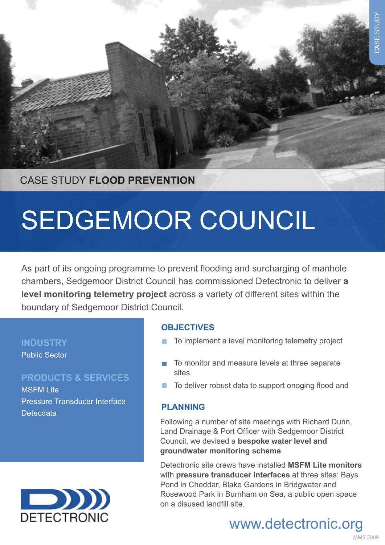

## CASE STUDY **FLOOD PREVENTION**

# SEDGEMOOR COUNCIL

As part of its ongoing programme to prevent flooding and surcharging of manhole chambers, Sedgemoor District Council has commissioned Detectronic to deliver **a level monitoring telemetry project** across a variety of different sites within the boundary of Sedgemoor District Council.

#### **INDUSTRY**

Public Sector

### **PRODUCTS & SERVICES**

MSFM Lite Pressure Transducer Interface **Detecdata** 



### **OBJECTIVES**

- To implement a level monitoring telemetry project
- To monitor and measure levels at three separate sites
- To deliver robust data to support onoging flood and

#### **PLANNING**

Following a number of site meetings with Richard Dunn, Land Drainage & Port Officer with Sedgemoor District Council, we devised a **bespoke water level and groundwater monitoring scheme**.

Detectronic site crews have installed **MSFM Lite monitors** with **pressure transducer interfaces** at three sites: Bays Pond in Cheddar, Blake Gardens in Bridgwater and Rosewood Park in Burnham on Sea, a public open space on a disused landfill site.

# www.detectronic.org